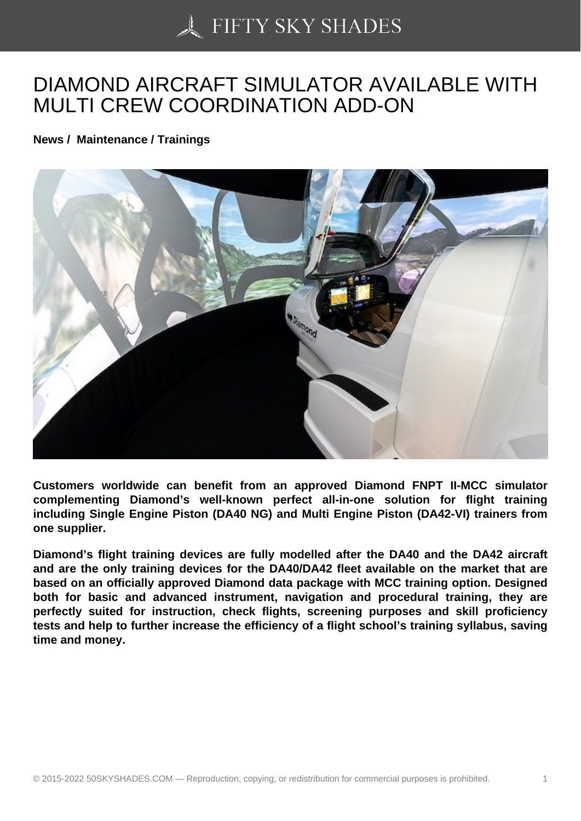## [DIAMOND AIRCRAFT](https://50skyshades.com) SIMULATOR AVAILABLE WITH MULTI CREW COORDINATION ADD-ON

News / Maintenance / Trainings

Customers worldwide can benefit from an approved Diamond FNPT II-MCC simulator complementing Diamond's well-known perfect all-in-one solution for flight training including Single Engine Piston (DA40 NG) and Multi Engine Piston (DA42-VI) trainers from one supplier.

Diamond's flight training devices are fully modelled after the DA40 and the DA42 aircraft and are the only training devices for the DA40/DA42 fleet available on the market that are based on an officially approved Diamond data package with MCC training option. Designed both for basic and advanced instrument, navigation and procedural training, they are perfectly suited for instruction, check flights, screening purposes and skill proficiency tests and help to further increase the efficiency of a flight school's training syllabus, saving time and money.